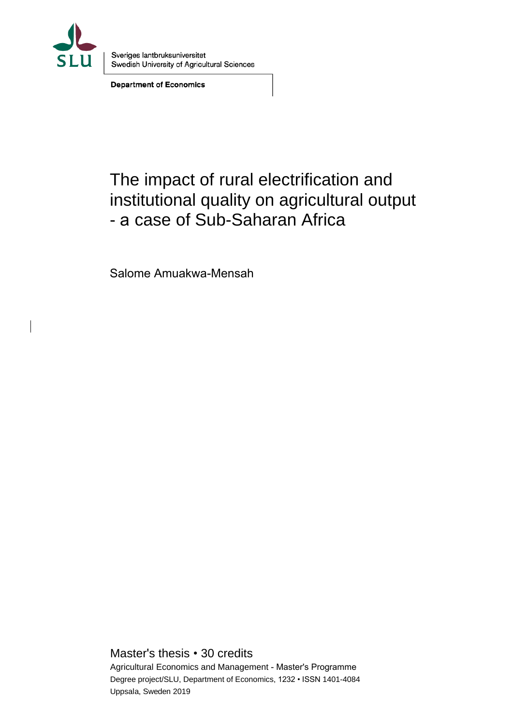

Sveriges lantbruksuniversitet Swedish University of Agricultural Sciences

**Department of Economics** 

### The impact of rural electrification and institutional quality on agricultural output - a case of Sub-Saharan Africa

Salome Amuakwa-Mensah

Master's thesis • 30 credits Agricultural Economics and Management - Master's Programme Degree project/SLU, Department of Economics, 1232 • ISSN 1401-4084 Uppsala, Sweden 2019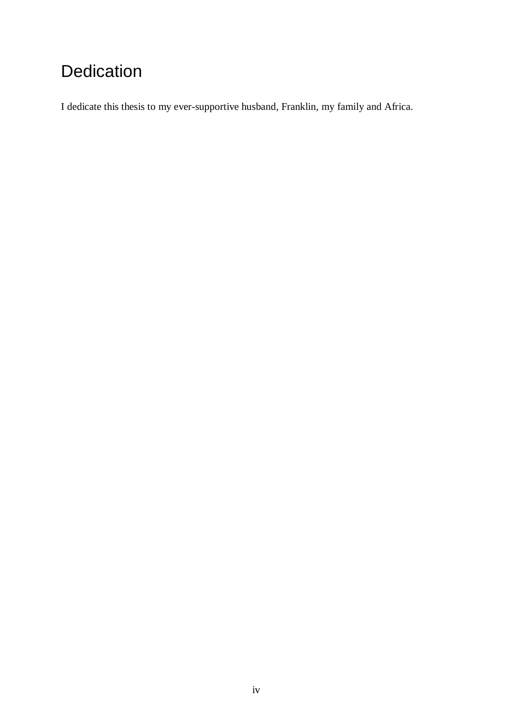### **Dedication**

I dedicate this thesis to my ever-supportive husband, Franklin, my family and Africa.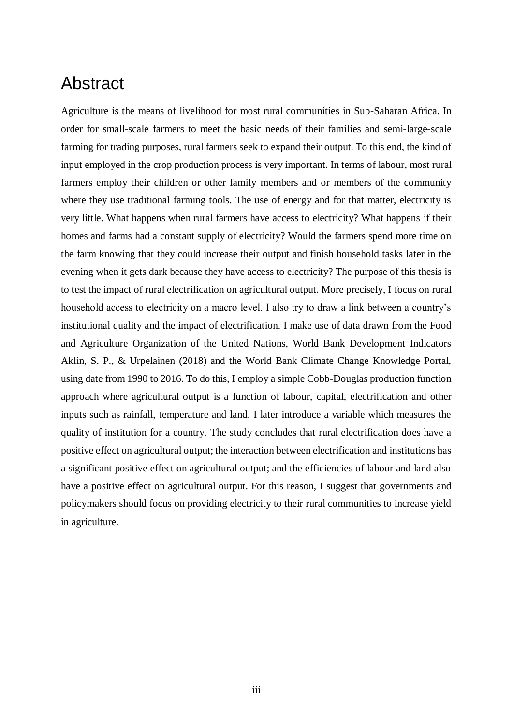#### Abstract

Agriculture is the means of livelihood for most rural communities in Sub-Saharan Africa. In order for small-scale farmers to meet the basic needs of their families and semi-large-scale farming for trading purposes, rural farmers seek to expand their output. To this end, the kind of input employed in the crop production process is very important. In terms of labour, most rural farmers employ their children or other family members and or members of the community where they use traditional farming tools. The use of energy and for that matter, electricity is very little. What happens when rural farmers have access to electricity? What happens if their homes and farms had a constant supply of electricity? Would the farmers spend more time on the farm knowing that they could increase their output and finish household tasks later in the evening when it gets dark because they have access to electricity? The purpose of this thesis is to test the impact of rural electrification on agricultural output. More precisely, I focus on rural household access to electricity on a macro level. I also try to draw a link between a country's institutional quality and the impact of electrification. I make use of data drawn from the Food and Agriculture Organization of the United Nations, World Bank Development Indicators Aklin, S. P., & Urpelainen (2018) and the World Bank Climate Change Knowledge Portal, using date from 1990 to 2016. To do this, I employ a simple Cobb-Douglas production function approach where agricultural output is a function of labour, capital, electrification and other inputs such as rainfall, temperature and land. I later introduce a variable which measures the quality of institution for a country. The study concludes that rural electrification does have a positive effect on agricultural output; the interaction between electrification and institutions has a significant positive effect on agricultural output; and the efficiencies of labour and land also have a positive effect on agricultural output. For this reason, I suggest that governments and policymakers should focus on providing electricity to their rural communities to increase yield in agriculture.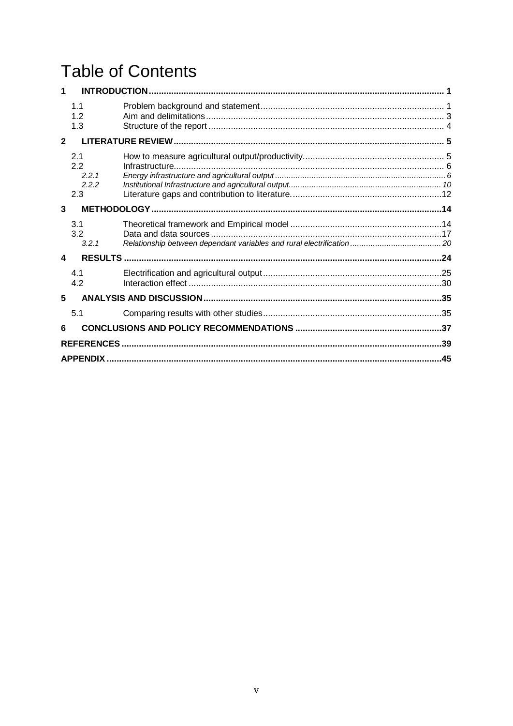# **Table of Contents**

|              | <b>INTRODUCTION.</b>                |  |  |  |  |  |  |
|--------------|-------------------------------------|--|--|--|--|--|--|
|              | 1.1<br>12<br>1.3                    |  |  |  |  |  |  |
| $\mathbf{2}$ |                                     |  |  |  |  |  |  |
|              | 2.1<br>2.2<br>2.2.1<br>2.2.2<br>2.3 |  |  |  |  |  |  |
| 3            |                                     |  |  |  |  |  |  |
|              | 3.1<br>3.2<br>3.2.1                 |  |  |  |  |  |  |
| 4            |                                     |  |  |  |  |  |  |
|              | 4.1<br>4.2                          |  |  |  |  |  |  |
| 5            |                                     |  |  |  |  |  |  |
|              | 5.1                                 |  |  |  |  |  |  |
| 6            |                                     |  |  |  |  |  |  |
|              |                                     |  |  |  |  |  |  |
|              | <b>APPENDIX</b><br>.45              |  |  |  |  |  |  |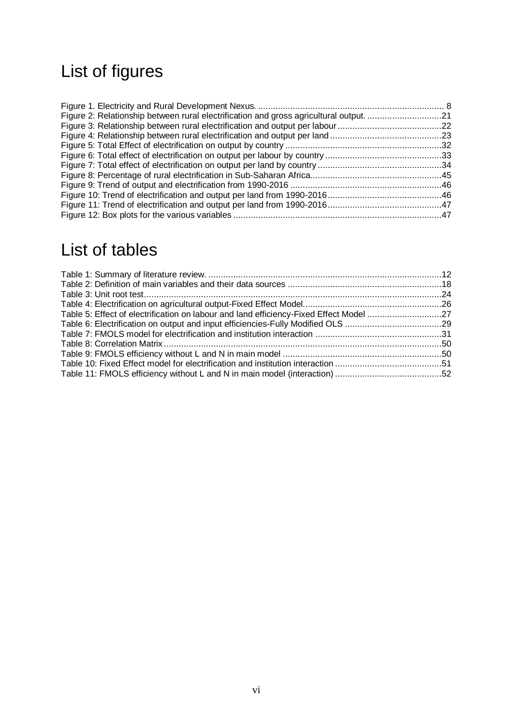# List of figures

| Figure 2: Relationship between rural electrification and gross agricultural output. 21 |  |
|----------------------------------------------------------------------------------------|--|
|                                                                                        |  |
|                                                                                        |  |
|                                                                                        |  |
|                                                                                        |  |
|                                                                                        |  |
|                                                                                        |  |
|                                                                                        |  |
|                                                                                        |  |
|                                                                                        |  |
|                                                                                        |  |

### List of tables

| Table 5: Effect of electrification on labour and land efficiency-Fixed Effect Model 27 |  |
|----------------------------------------------------------------------------------------|--|
|                                                                                        |  |
|                                                                                        |  |
|                                                                                        |  |
|                                                                                        |  |
|                                                                                        |  |
|                                                                                        |  |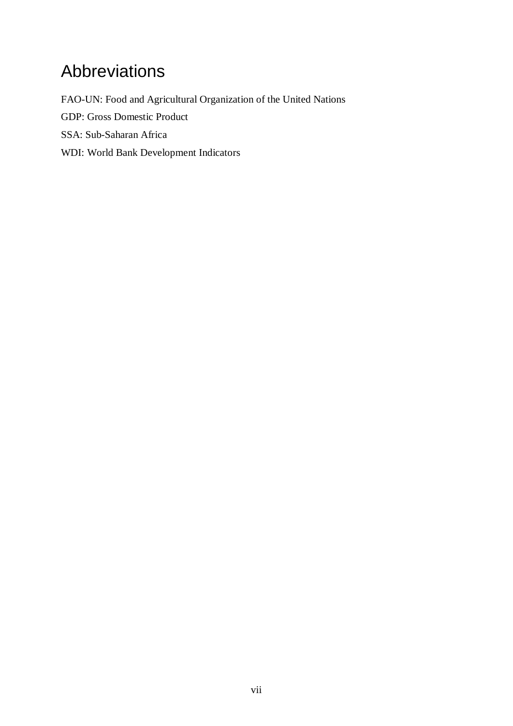### Abbreviations

FAO-UN: Food and Agricultural Organization of the United Nations GDP: Gross Domestic Product SSA: Sub-Saharan Africa WDI: World Bank Development Indicators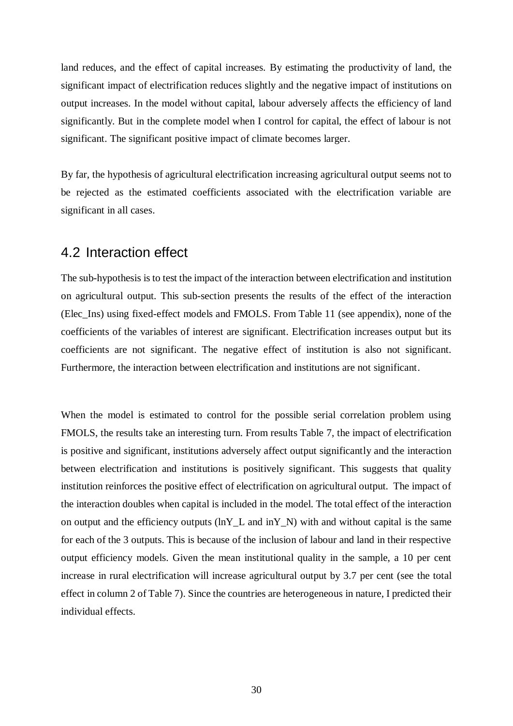# List of figures

| Figure 2: Relationship between rural electrification and gross agricultural output. 21 |  |
|----------------------------------------------------------------------------------------|--|
|                                                                                        |  |
|                                                                                        |  |
|                                                                                        |  |
|                                                                                        |  |
|                                                                                        |  |
|                                                                                        |  |
|                                                                                        |  |
|                                                                                        |  |
|                                                                                        |  |
|                                                                                        |  |

### List of tables

| Table 5: Effect of electrification on labour and land efficiency-Fixed Effect Model 27 |  |
|----------------------------------------------------------------------------------------|--|
|                                                                                        |  |
|                                                                                        |  |
|                                                                                        |  |
|                                                                                        |  |
|                                                                                        |  |
|                                                                                        |  |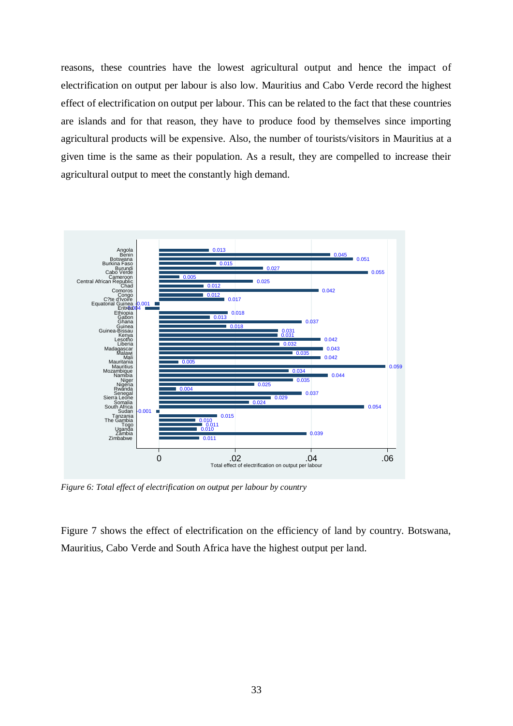## Table of Contents

| INTRODUCTION.<br>1 |                                     |                                                                                                                     |  |
|--------------------|-------------------------------------|---------------------------------------------------------------------------------------------------------------------|--|
|                    | 1.1<br>1.2<br>1.3                   | 3                                                                                                                   |  |
| 2                  |                                     |                                                                                                                     |  |
|                    | 2.1<br>2.2<br>2.2.1<br>2.2.2<br>2.3 |                                                                                                                     |  |
| 3                  |                                     |                                                                                                                     |  |
|                    | 3.1<br>3.2<br>3.2.1                 | Theoretical framework and Empirical model and manufacturers are continuous contracted framework and Empirical model |  |
| 4                  |                                     |                                                                                                                     |  |
|                    | 4.1<br>4.2                          |                                                                                                                     |  |
| 5                  |                                     |                                                                                                                     |  |
|                    | 5.1                                 |                                                                                                                     |  |
| 6                  |                                     |                                                                                                                     |  |
|                    |                                     |                                                                                                                     |  |
|                    |                                     |                                                                                                                     |  |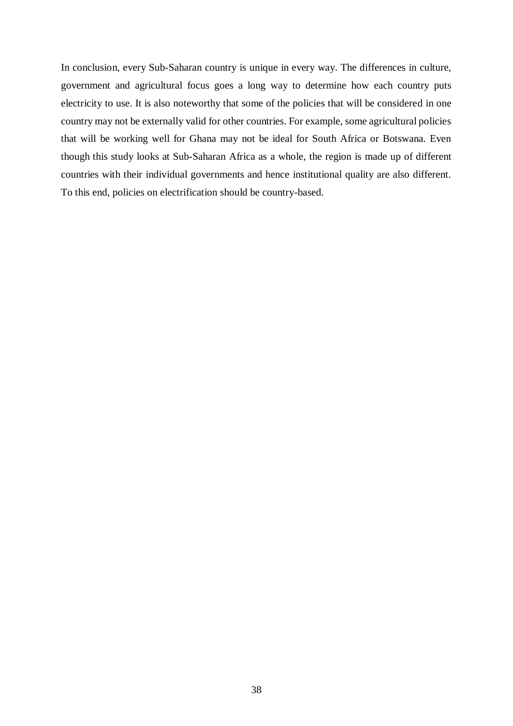In conclusion, every Sub-Saharan country is unique in every way. The differences in culture, government and agricultural focus goes a long way to determine how each country puts electricity to use. It is also noteworthy that some of the policies that will be considered in one country may not be externally valid for other countries. For example, some agricultural policies that will be working well for Ghana may not be ideal for South Africa or Botswana. Even though this study looks at Sub-Saharan Africa as a whole, the region is made up of different countries with their individual governments and hence institutional quality are also different. To this end, policies on electrification should be country-based.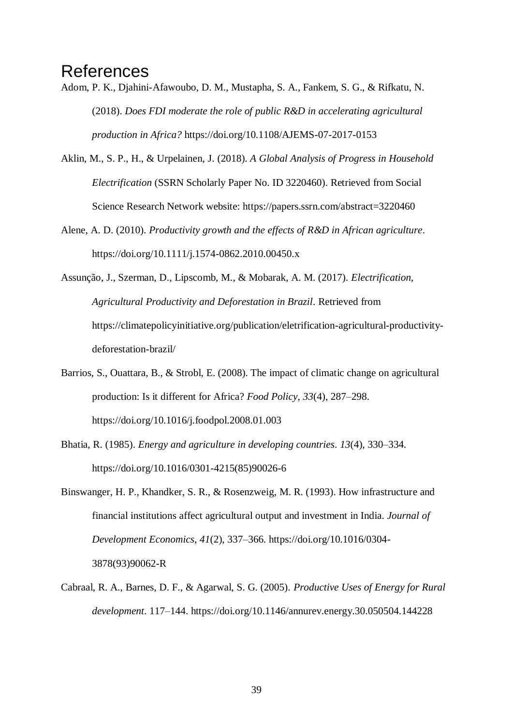#### <span id="page-48-0"></span>References

Adom, P. K., Djahini-Afawoubo, D. M., Mustapha, S. A., Fankem, S. G., & Rifkatu, N. (2018). *Does FDI moderate the role of public R&D in accelerating agricultural production in Africa?* https://doi.org/10.1108/AJEMS-07-2017-0153

- Aklin, M., S. P., H., & Urpelainen, J. (2018). *A Global Analysis of Progress in Household Electrification* (SSRN Scholarly Paper No. ID 3220460). Retrieved from Social Science Research Network website: https://papers.ssrn.com/abstract=3220460
- Alene, A. D. (2010). *Productivity growth and the effects of R&D in African agriculture*. https://doi.org/10.1111/j.1574-0862.2010.00450.x
- Assunção, J., Szerman, D., Lipscomb, M., & Mobarak, A. M. (2017). *Electrification, Agricultural Productivity and Deforestation in Brazil*. Retrieved from https://climatepolicyinitiative.org/publication/eletrification-agricultural-productivitydeforestation-brazil/
- Barrios, S., Ouattara, B., & Strobl, E. (2008). The impact of climatic change on agricultural production: Is it different for Africa? *Food Policy*, *33*(4), 287–298. https://doi.org/10.1016/j.foodpol.2008.01.003
- Bhatia, R. (1985). *Energy and agriculture in developing countries*. *13*(4), 330–334. https://doi.org/10.1016/0301-4215(85)90026-6
- Binswanger, H. P., Khandker, S. R., & Rosenzweig, M. R. (1993). How infrastructure and financial institutions affect agricultural output and investment in India. *Journal of Development Economics*, *41*(2), 337–366. https://doi.org/10.1016/0304- 3878(93)90062-R
- Cabraal, R. A., Barnes, D. F., & Agarwal, S. G. (2005). *Productive Uses of Energy for Rural development*. 117–144. https://doi.org/10.1146/annurev.energy.30.050504.144228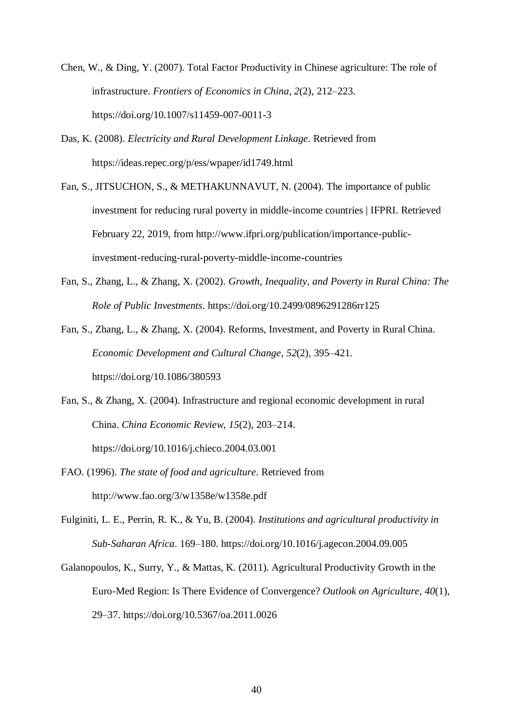- Chen, W., & Ding, Y. (2007). Total Factor Productivity in Chinese agriculture: The role of infrastructure. *Frontiers of Economics in China*, *2*(2), 212–223. https://doi.org/10.1007/s11459-007-0011-3
- Das, K. (2008). *Electricity and Rural Development Linkage*. Retrieved from https://ideas.repec.org/p/ess/wpaper/id1749.html
- Fan, S., JITSUCHON, S., & METHAKUNNAVUT, N. (2004). The importance of public investment for reducing rural poverty in middle-income countries | IFPRI. Retrieved February 22, 2019, from http://www.ifpri.org/publication/importance-publicinvestment-reducing-rural-poverty-middle-income-countries
- Fan, S., Zhang, L., & Zhang, X. (2002). *Growth, Inequality, and Poverty in Rural China: The Role of Public Investments*. https://doi.org/10.2499/0896291286rr125
- Fan, S., Zhang, L., & Zhang, X. (2004). Reforms, Investment, and Poverty in Rural China. *Economic Development and Cultural Change*, *52*(2), 395–421. https://doi.org/10.1086/380593
- Fan, S., & Zhang, X. (2004). Infrastructure and regional economic development in rural China. *China Economic Review*, *15*(2), 203–214. https://doi.org/10.1016/j.chieco.2004.03.001
- FAO. (1996). *The state of food and agriculture*. Retrieved from http://www.fao.org/3/w1358e/w1358e.pdf
- Fulginiti, L. E., Perrin, R. K., & Yu, B. (2004). *Institutions and agricultural productivity in Sub-Saharan Africa*. 169–180. https://doi.org/10.1016/j.agecon.2004.09.005
- Galanopoulos, K., Surry, Y., & Mattas, K. (2011). Agricultural Productivity Growth in the Euro-Med Region: Is There Evidence of Convergence? *Outlook on Agriculture*, *40*(1), 29–37. https://doi.org/10.5367/oa.2011.0026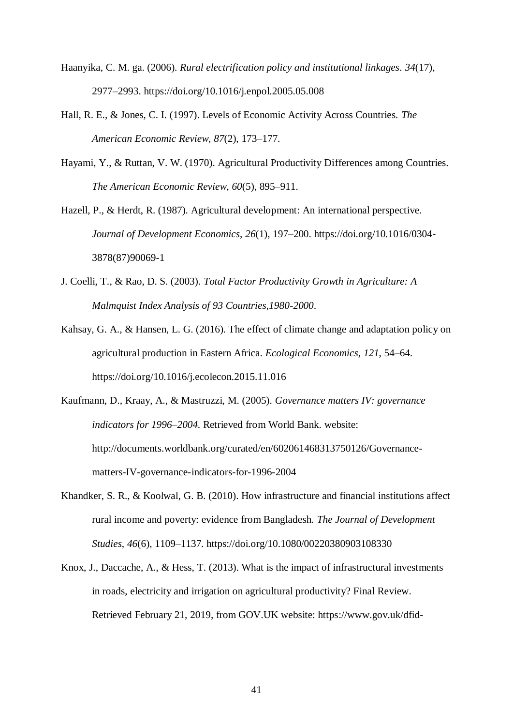- Haanyika, C. M. ga. (2006). *Rural electrification policy and institutional linkages*. *34*(17), 2977–2993. https://doi.org/10.1016/j.enpol.2005.05.008
- Hall, R. E., & Jones, C. I. (1997). Levels of Economic Activity Across Countries. *The American Economic Review*, *87*(2), 173–177.
- Hayami, Y., & Ruttan, V. W. (1970). Agricultural Productivity Differences among Countries. *The American Economic Review*, *60*(5), 895–911.
- Hazell, P., & Herdt, R. (1987). Agricultural development: An international perspective. *Journal of Development Economics*, *26*(1), 197–200. https://doi.org/10.1016/0304- 3878(87)90069-1
- J. Coelli, T., & Rao, D. S. (2003). *Total Factor Productivity Growth in Agriculture: A Malmquist Index Analysis of 93 Countries,1980-2000*.
- Kahsay, G. A., & Hansen, L. G. (2016). The effect of climate change and adaptation policy on agricultural production in Eastern Africa. *Ecological Economics*, *121*, 54–64. https://doi.org/10.1016/j.ecolecon.2015.11.016
- Kaufmann, D., Kraay, A., & Mastruzzi, M. (2005). *Governance matters IV: governance indicators for 1996–2004.* Retrieved from World Bank. website: http://documents.worldbank.org/curated/en/602061468313750126/Governancematters-IV-governance-indicators-for-1996-2004
- Khandker, S. R., & Koolwal, G. B. (2010). How infrastructure and financial institutions affect rural income and poverty: evidence from Bangladesh. *The Journal of Development Studies*, *46*(6), 1109–1137. https://doi.org/10.1080/00220380903108330
- Knox, J., Daccache, A., & Hess, T. (2013). What is the impact of infrastructural investments in roads, electricity and irrigation on agricultural productivity? Final Review. Retrieved February 21, 2019, from GOV.UK website: https://www.gov.uk/dfid-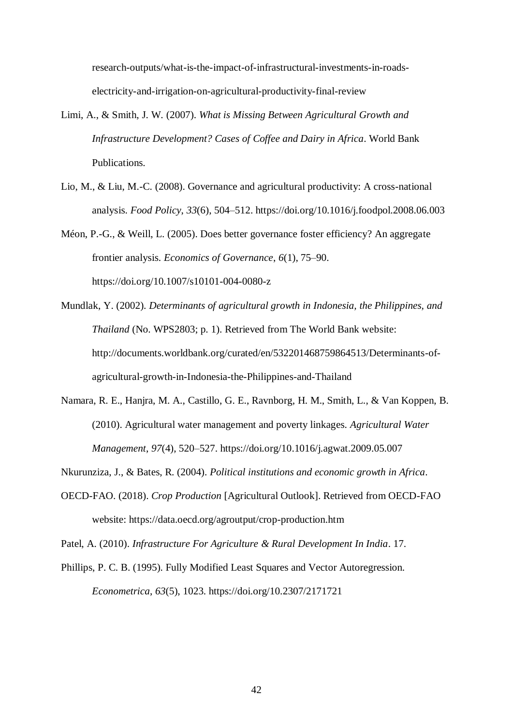research-outputs/what-is-the-impact-of-infrastructural-investments-in-roadselectricity-and-irrigation-on-agricultural-productivity-final-review

- Limi, A., & Smith, J. W. (2007). *What is Missing Between Agricultural Growth and Infrastructure Development? Cases of Coffee and Dairy in Africa*. World Bank Publications.
- Lio, M., & Liu, M.-C. (2008). Governance and agricultural productivity: A cross-national analysis. *Food Policy*, *33*(6), 504–512. https://doi.org/10.1016/j.foodpol.2008.06.003
- Méon, P.-G., & Weill, L. (2005). Does better governance foster efficiency? An aggregate frontier analysis. *Economics of Governance*, *6*(1), 75–90. https://doi.org/10.1007/s10101-004-0080-z
- Mundlak, Y. (2002). *Determinants of agricultural growth in Indonesia, the Philippines, and Thailand* (No. WPS2803; p. 1). Retrieved from The World Bank website: http://documents.worldbank.org/curated/en/532201468759864513/Determinants-ofagricultural-growth-in-Indonesia-the-Philippines-and-Thailand
- Namara, R. E., Hanjra, M. A., Castillo, G. E., Ravnborg, H. M., Smith, L., & Van Koppen, B. (2010). Agricultural water management and poverty linkages. *Agricultural Water Management*, *97*(4), 520–527. https://doi.org/10.1016/j.agwat.2009.05.007
- Nkurunziza, J., & Bates, R. (2004). *Political institutions and economic growth in Africa*.
- OECD-FAO. (2018). *Crop Production* [Agricultural Outlook]. Retrieved from OECD-FAO website: https://data.oecd.org/agroutput/crop-production.htm

Patel, A. (2010). *Infrastructure For Agriculture & Rural Development In India*. 17.

Phillips, P. C. B. (1995). Fully Modified Least Squares and Vector Autoregression. *Econometrica*, *63*(5), 1023. https://doi.org/10.2307/2171721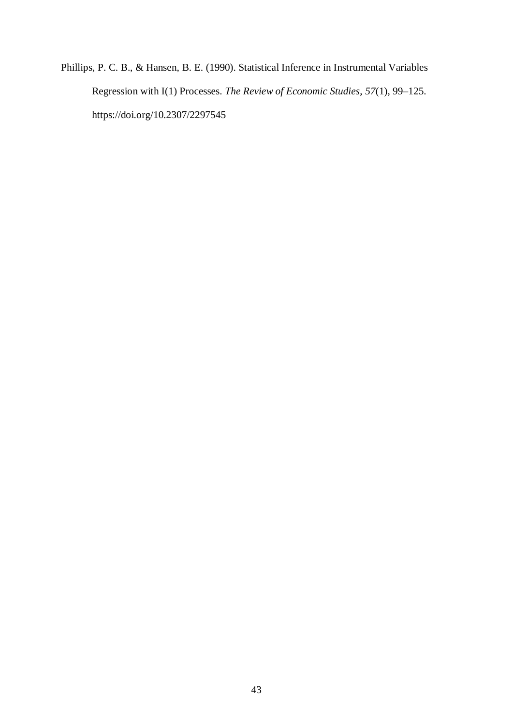Phillips, P. C. B., & Hansen, B. E. (1990). Statistical Inference in Instrumental Variables Regression with I(1) Processes. *The Review of Economic Studies*, *57*(1), 99–125. https://doi.org/10.2307/2297545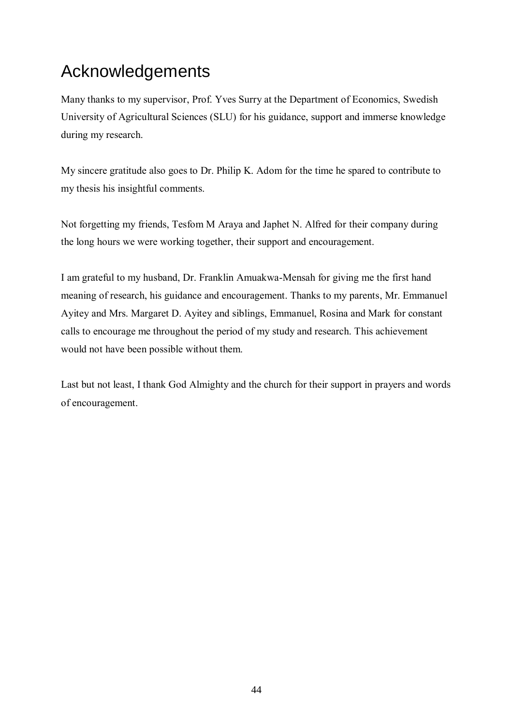## Acknowledgements

Many thanks to my supervisor, Prof. Yves Surry at the Department of Economics, Swedish University of Agricultural Sciences (SLU) for his guidance, support and immerse knowledge during my research.

My sincere gratitude also goes to Dr. Philip K. Adom for the time he spared to contribute to my thesis his insightful comments.

Not forgetting my friends, Tesfom M Araya and Japhet N. Alfred for their company during the long hours we were working together, their support and encouragement.

I am grateful to my husband, Dr. Franklin Amuakwa-Mensah for giving me the first hand meaning of research, his guidance and encouragement. Thanks to my parents, Mr. Emmanuel Ayitey and Mrs. Margaret D. Ayitey and siblings, Emmanuel, Rosina and Mark for constant calls to encourage me throughout the period of my study and research. This achievement would not have been possible without them.

Last but not least, I thank God Almighty and the church for their support in prayers and words of encouragement.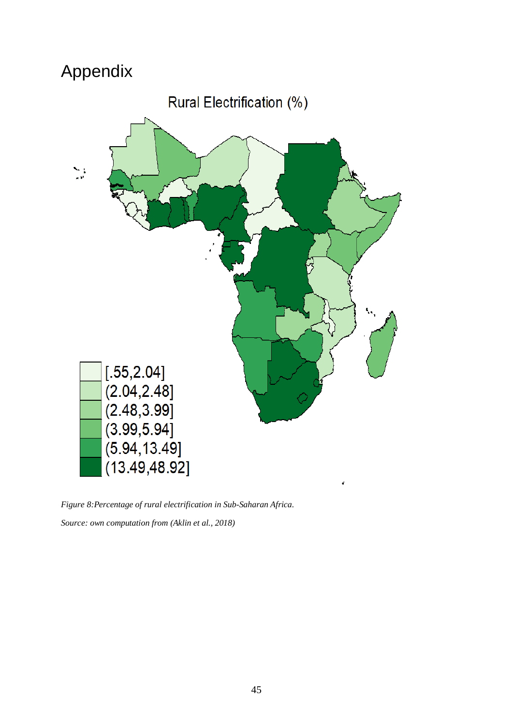## <span id="page-54-0"></span>Appendix



<span id="page-54-1"></span>*Figure 8:Percentage of rural electrification in Sub-Saharan Africa. Source: own computation from (Aklin et al., 2018)*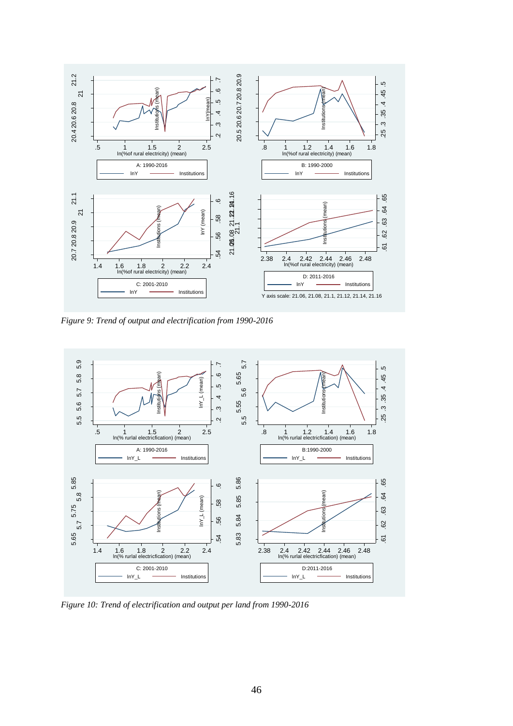

<span id="page-55-0"></span>*Figure 9: Trend of output and electrification from 1990-2016*



<span id="page-55-1"></span>*Figure 10: Trend of electrification and output per land from 1990-2016*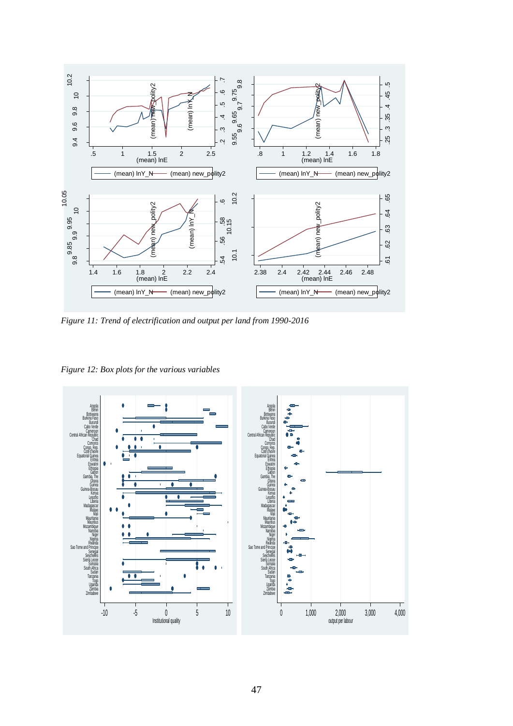

<span id="page-56-0"></span>*Figure 11: Trend of electrification and output per land from 1990-2016*



<span id="page-56-1"></span>*Figure 12: Box plots for the various variables*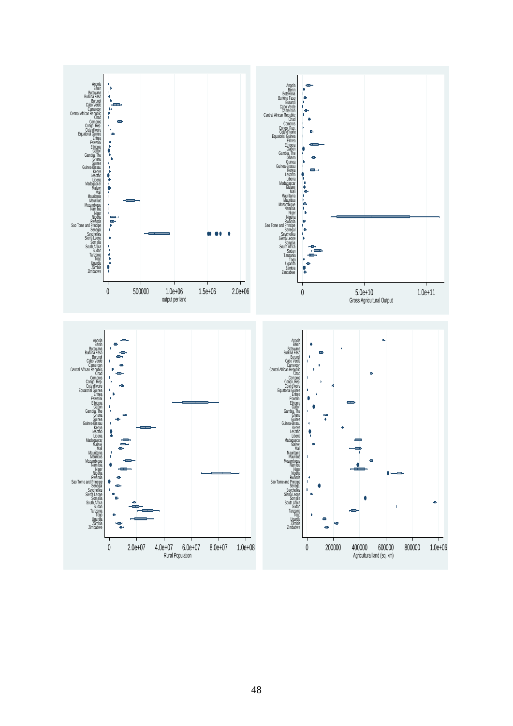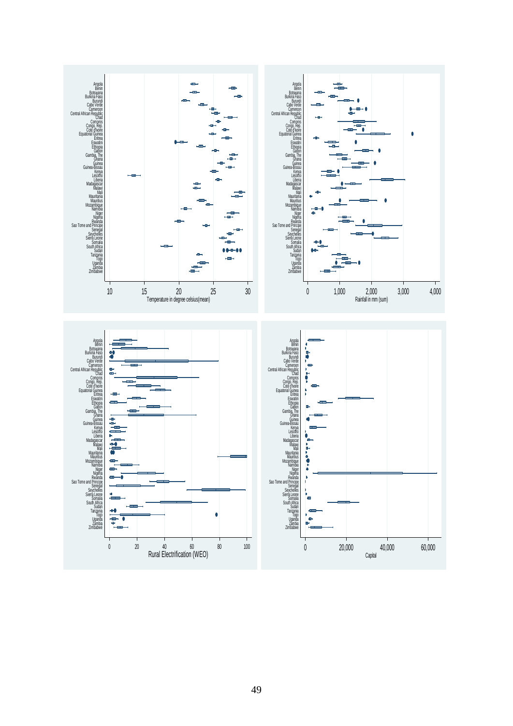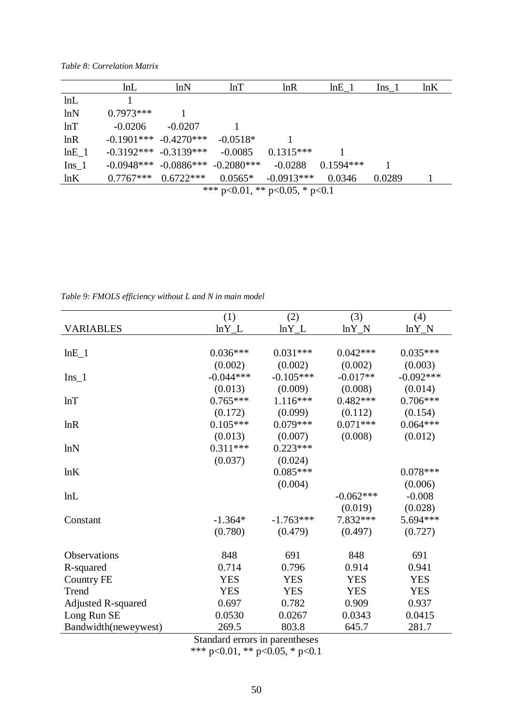|         | lnL                                    | lnN                                    | lnT        | lnR                  | $lnE_1$               | $Ins_1$ | lnK |
|---------|----------------------------------------|----------------------------------------|------------|----------------------|-----------------------|---------|-----|
| lnL     |                                        |                                        |            |                      |                       |         |     |
| lnN     | $0.7973***$                            |                                        |            |                      |                       |         |     |
| lnT     | $-0.0206$                              | $-0.0207$                              |            |                      |                       |         |     |
| lnR     |                                        | $-0.1901***$ $-0.4270***$              | $-0.0518*$ |                      |                       |         |     |
| $lnE_1$ |                                        | $-0.3192***$ $-0.3139***$              | $-0.0085$  | $0.1315***$          |                       |         |     |
| $Ins_1$ |                                        | $-0.0948***$ $-0.0886***$ $-0.2080***$ |            |                      | $-0.0288$ $0.1594***$ |         |     |
| lnK     | $0.7767***$                            | $0.6722***$                            |            | $0.0565* -0.0913***$ | 0.0346                | 0.0289  |     |
|         | *** $p<0.01$ , ** $p<0.05$ , * $p<0.1$ |                                        |            |                      |                       |         |     |

<span id="page-59-0"></span>*Table 8: Correlation Matrix*

<span id="page-59-1"></span>*Table 9: FMOLS efficiency without L and N in main model*

|             |                                                                                        |                                                                                        | (4)                                                                                    |
|-------------|----------------------------------------------------------------------------------------|----------------------------------------------------------------------------------------|----------------------------------------------------------------------------------------|
|             |                                                                                        |                                                                                        | $lnY_N$                                                                                |
|             |                                                                                        |                                                                                        |                                                                                        |
| $0.036***$  | $0.031***$                                                                             | $0.042***$                                                                             | $0.035***$                                                                             |
| (0.002)     | (0.002)                                                                                | (0.002)                                                                                | (0.003)                                                                                |
| $-0.044***$ | $-0.105***$                                                                            | $-0.017**$                                                                             | $-0.092***$                                                                            |
| (0.013)     | (0.009)                                                                                | (0.008)                                                                                | (0.014)                                                                                |
| $0.765***$  | $1.116***$                                                                             | $0.482***$                                                                             | $0.706***$                                                                             |
| (0.172)     | (0.099)                                                                                | (0.112)                                                                                | (0.154)                                                                                |
| $0.105***$  | $0.079***$                                                                             | $0.071***$                                                                             | $0.064***$                                                                             |
| (0.013)     | (0.007)                                                                                | (0.008)                                                                                | (0.012)                                                                                |
| $0.311***$  | $0.223***$                                                                             |                                                                                        |                                                                                        |
| (0.037)     | (0.024)                                                                                |                                                                                        |                                                                                        |
|             | $0.085***$                                                                             |                                                                                        | $0.078***$                                                                             |
|             | (0.004)                                                                                |                                                                                        | (0.006)                                                                                |
|             |                                                                                        | $-0.062***$                                                                            | $-0.008$                                                                               |
|             |                                                                                        | (0.019)                                                                                | (0.028)                                                                                |
| $-1.364*$   | $-1.763***$                                                                            | 7.832 ***                                                                              | 5.694 ***                                                                              |
| (0.780)     | (0.479)                                                                                | (0.497)                                                                                | (0.727)                                                                                |
|             |                                                                                        |                                                                                        | 691                                                                                    |
|             |                                                                                        |                                                                                        | 0.941                                                                                  |
|             |                                                                                        |                                                                                        | <b>YES</b>                                                                             |
|             |                                                                                        |                                                                                        | <b>YES</b>                                                                             |
|             |                                                                                        |                                                                                        | 0.937                                                                                  |
|             |                                                                                        |                                                                                        | 0.0415                                                                                 |
|             |                                                                                        |                                                                                        | 281.7                                                                                  |
|             | (1)<br>$lnY_L$<br>848<br>0.714<br><b>YES</b><br><b>YES</b><br>0.697<br>0.0530<br>269.5 | (2)<br>$lnY_L$<br>691<br>0.796<br><b>YES</b><br><b>YES</b><br>0.782<br>0.0267<br>803.8 | (3)<br>$lnY_N$<br>848<br>0.914<br><b>YES</b><br><b>YES</b><br>0.909<br>0.0343<br>645.7 |

Standard errors in parentheses

\*\*\* p<0.01, \*\* p<0.05, \* p<0.1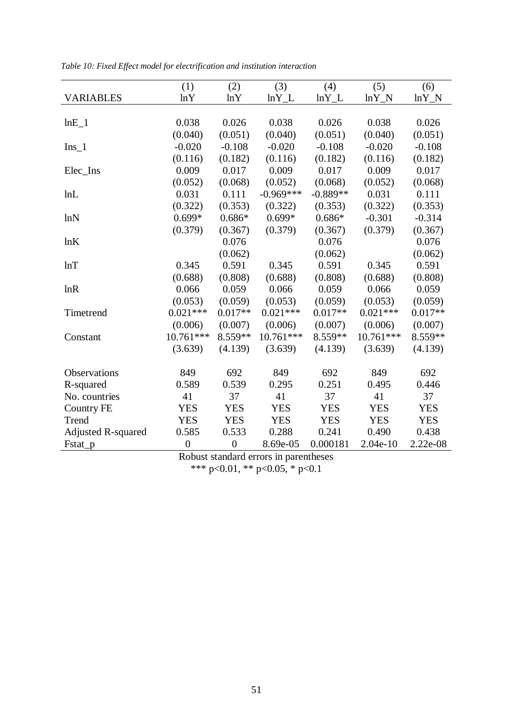|                    | (1)              | (2)              | (3)         | (4)        | (5)         | (6)        |
|--------------------|------------------|------------------|-------------|------------|-------------|------------|
| <b>VARIABLES</b>   | lnY              | ln Y             | $lnY_L$     | $lnY_L$    | $lnY_N$     | $lnY_N$    |
|                    |                  |                  |             |            |             |            |
| $lnE_1$            | 0.038            | 0.026            | 0.038       | 0.026      | 0.038       | 0.026      |
|                    | (0.040)          | (0.051)          | (0.040)     | (0.051)    | (0.040)     | (0.051)    |
| $Ins_1$            | $-0.020$         | $-0.108$         | $-0.020$    | $-0.108$   | $-0.020$    | $-0.108$   |
|                    | (0.116)          | (0.182)          | (0.116)     | (0.182)    | (0.116)     | (0.182)    |
| Elec_Ins           | 0.009            | 0.017            | 0.009       | 0.017      | 0.009       | 0.017      |
|                    | (0.052)          | (0.068)          | (0.052)     | (0.068)    | (0.052)     | (0.068)    |
| lnL                | 0.031            | 0.111            | $-0.969***$ | $-0.889**$ | 0.031       | 0.111      |
|                    | (0.322)          | (0.353)          | (0.322)     | (0.353)    | (0.322)     | (0.353)    |
| lnN                | $0.699*$         | $0.686*$         | $0.699*$    | $0.686*$   | $-0.301$    | $-0.314$   |
|                    | (0.379)          | (0.367)          | (0.379)     | (0.367)    | (0.379)     | (0.367)    |
| ln K               |                  | 0.076            |             | 0.076      |             | 0.076      |
|                    |                  | (0.062)          |             | (0.062)    |             | (0.062)    |
| lnT                | 0.345            | 0.591            | 0.345       | 0.591      | 0.345       | 0.591      |
|                    | (0.688)          | (0.808)          | (0.688)     | (0.808)    | (0.688)     | (0.808)    |
| lnR                | 0.066            | 0.059            | 0.066       | 0.059      | 0.066       | 0.059      |
|                    | (0.053)          | (0.059)          | (0.053)     | (0.059)    | (0.053)     | (0.059)    |
| Timetrend          | $0.021***$       | $0.017**$        | $0.021***$  | $0.017**$  | $0.021***$  | $0.017**$  |
|                    | (0.006)          | (0.007)          | (0.006)     | (0.007)    | (0.006)     | (0.007)    |
| Constant           | $10.761***$      | $8.559**$        | $10.761***$ | $8.559**$  | $10.761***$ | 8.559**    |
|                    | (3.639)          | (4.139)          | (3.639)     | (4.139)    | (3.639)     | (4.139)    |
|                    |                  |                  |             |            |             |            |
| Observations       | 849              | 692              | 849         | 692        | 849         | 692        |
| R-squared          | 0.589            | 0.539            | 0.295       | 0.251      | 0.495       | 0.446      |
| No. countries      | 41               | 37               | 41          | 37         | 41          | 37         |
| <b>Country FE</b>  | <b>YES</b>       | <b>YES</b>       | <b>YES</b>  | <b>YES</b> | <b>YES</b>  | <b>YES</b> |
| Trend              | <b>YES</b>       | <b>YES</b>       | <b>YES</b>  | <b>YES</b> | <b>YES</b>  | <b>YES</b> |
| Adjusted R-squared | 0.585            | 0.533            | 0.288       | 0.241      | 0.490       | 0.438      |
| Fstat_p            | $\boldsymbol{0}$ | $\boldsymbol{0}$ | 8.69e-05    | 0.000181   | $2.04e-10$  | 2.22e-08   |

<span id="page-60-0"></span>*Table 10: Fixed Effect model for electrification and institution interaction*

Robust standard errors in parentheses \*\*\* p<0.01, \*\* p<0.05, \* p<0.1